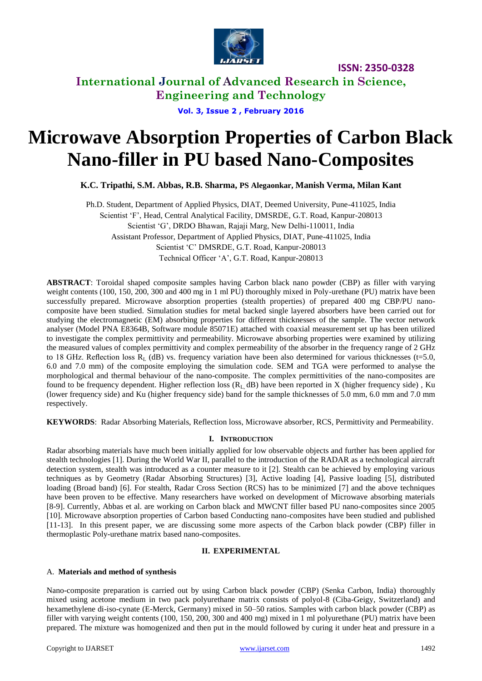

**ISSN: 2350-0328**

**International Journal of Advanced Research in Science, Engineering and Technology**

**Vol. 3, Issue 2 , February 2016**

# **Microwave Absorption Properties of Carbon Black Nano-filler in PU based Nano-Composites**

**K.C. Tripathi, S.M. Abbas, R.B. Sharma, PS Alegaonkar, Manish Verma, Milan Kant** 

Ph.D. Student, Department of Applied Physics, DIAT, Deemed University, Pune-411025, India Scientist "F", Head, Central Analytical Facility, DMSRDE, G.T. Road, Kanpur-208013 Scientist "G", DRDO Bhawan, Rajaji Marg, New Delhi-110011, India Assistant Professor, Department of Applied Physics, DIAT, Pune-411025, India Scientist "C" DMSRDE, G.T. Road, Kanpur-208013 Technical Officer "A", G.T. Road, Kanpur-208013

**ABSTRACT**: Toroidal shaped composite samples having Carbon black nano powder (CBP) as filler with varying weight contents (100, 150, 200, 300 and 400 mg in 1 ml PU) thoroughly mixed in Poly-urethane (PU) matrix have been successfully prepared. Microwave absorption properties (stealth properties) of prepared 400 mg CBP/PU nanocomposite have been studied. Simulation studies for metal backed single layered absorbers have been carried out for studying the electromagnetic (EM) absorbing properties for different thicknesses of the sample. The vector network analyser (Model PNA E8364B, Software module 85071E) attached with coaxial measurement set up has been utilized to investigate the complex permittivity and permeability. Microwave absorbing properties were examined by utilizing the measured values of complex permittivity and complex permeability of the absorber in the frequency range of 2 GHz to 18 GHz. Reflection loss  $R_L$  (dB) vs. frequency variation have been also determined for various thicknesses (t=5.0, 6.0 and 7.0 mm) of the composite employing the simulation code. SEM and TGA were performed to analyse the morphological and thermal behaviour of the nano-composite. The complex permittivities of the nano-composites are found to be frequency dependent. Higher reflection loss  $(R<sub>L</sub>$  dB) have been reported in X (higher frequency side), Ku (lower frequency side) and Ku (higher frequency side) band for the sample thicknesses of 5.0 mm, 6.0 mm and 7.0 mm respectively.

**KEYWORDS**: Radar Absorbing Materials, Reflection loss, Microwave absorber, RCS, Permittivity and Permeability.

#### **I. INTRODUCTION**

Radar absorbing materials have much been initially applied for low observable objects and further has been applied for stealth technologies [1]. During the World War II, parallel to the introduction of the RADAR as a technological aircraft detection system, stealth was introduced as a counter measure to it [2]. Stealth can be achieved by employing various techniques as by Geometry (Radar Absorbing Structures) [3], Active loading [4], Passive loading [5], distributed loading (Broad band) [6]. For stealth, Radar Cross Section (RCS) has to be minimized [7] and the above techniques have been proven to be effective. Many researchers have worked on development of Microwave absorbing materials [8-9]. Currently, Abbas et al. are working on Carbon black and MWCNT filler based PU nano-composites since 2005 [10]. Microwave absorption properties of Carbon based Conducting nano-composites have been studied and published [11-13]. In this present paper, we are discussing some more aspects of the Carbon black powder (CBP) filler in thermoplastic Poly-urethane matrix based nano-composites.

#### **II. EXPERIMENTAL**

#### A. **Materials and method of synthesis**

Nano-composite preparation is carried out by using Carbon black powder (CBP) (Senka Carbon, India) thoroughly mixed using acetone medium in two pack polyurethane matrix consists of polyol-8 (Ciba-Geigy, Switzerland) and hexamethylene di-iso-cynate (E-Merck, Germany) mixed in 50–50 ratios. Samples with carbon black powder (CBP) as filler with varying weight contents (100, 150, 200, 300 and 400 mg) mixed in 1 ml polyurethane (PU) matrix have been prepared. The mixture was homogenized and then put in the mould followed by curing it under heat and pressure in a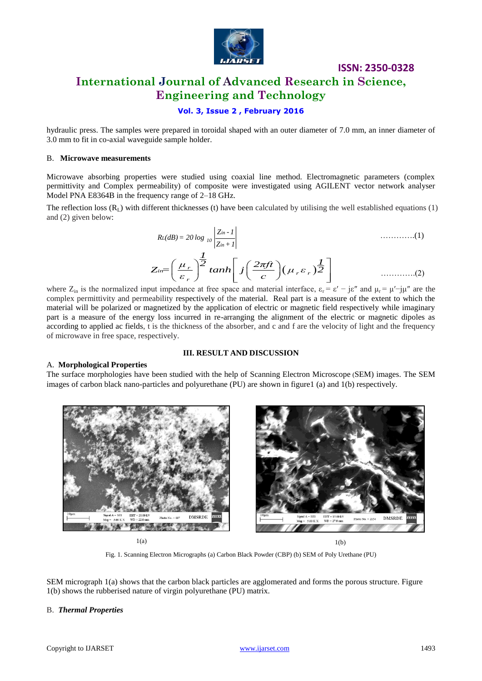

# **International Journal of Advanced Research in Science, Engineering and Technology**

#### **Vol. 3, Issue 2 , February 2016**

hydraulic press. The samples were prepared in toroidal shaped with an outer diameter of 7.0 mm, an inner diameter of 3.0 mm to fit in co-axial waveguide sample holder.

#### B. **Microwave measurements**

Microwave absorbing properties were studied using coaxial line method. Electromagnetic parameters (complex permittivity and Complex permeability) of composite were investigated using AGILENT vector network analyser Model PNA E8364B in the frequency range of 2–18 GHz.

The reflection loss  $(R_1)$  with different thicknesses (t) have been calculated by utilising the well established equations (1) and (2) given below:

$$
R_L(dB) = 20 \log_{10} \left| \frac{Z_{in-1}}{Z_{in+1}} \right|
$$
\n............(1)  
\n
$$
Z_{in} = \left( \frac{\mu_r}{\varepsilon_r} \right)^{\frac{1}{2}} \tanh \left[ j \left( \frac{2\pi ft}{c} \right) (\mu_r \varepsilon_r) \frac{1}{2} \right]
$$
\n............(2)

**ISSN: 2350-0328**

where  $Z_{in}$  is the normalized input impedance at free space and material interface,  $\varepsilon_r = \varepsilon' - j\varepsilon''$  and  $\mu_r = \mu' - j\mu''$  are the complex permittivity and permeability respectively of the material. Real part is a measure of the extent to which the material will be polarized or magnetized by the application of electric or magnetic field respectively while imaginary part is a measure of the energy loss incurred in re-arranging the alignment of the electric or magnetic dipoles as according to applied ac fields, t is the thickness of the absorber, and c and f are the velocity of light and the frequency of microwave in free space, respectively.

#### **III. RESULT AND DISCUSSION**

#### A. **Morphological Properties**

The surface morphologies have been studied with the help of Scanning Electron Microscope (SEM) images. The SEM images of carbon black nano-particles and polyurethane (PU) are shown in figure1 (a) and 1(b) respectively.



 $1(a)$  1(b)

Fig. 1. Scanning Electron Micrographs (a) Carbon Black Powder (CBP) (b) SEM of Poly Urethane (PU)

SEM micrograph 1(a) shows that the carbon black particles are agglomerated and forms the porous structure. Figure 1(b) shows the rubberised nature of virgin polyurethane (PU) matrix.

#### B. *Thermal Properties*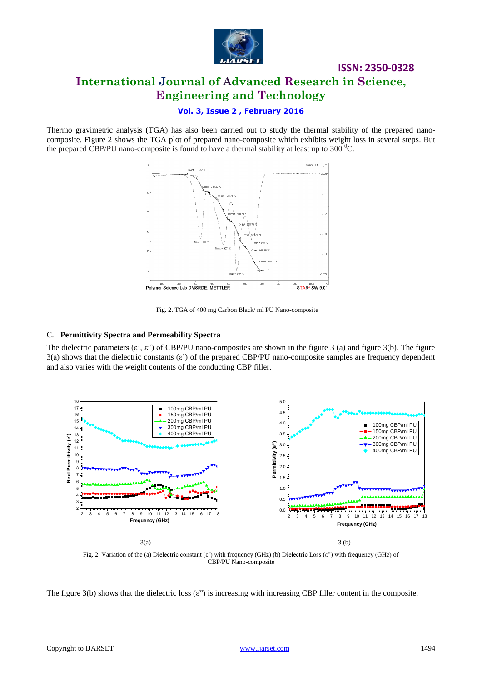

# **ISSN: 2350-0328 International Journal of Advanced Research in Science, Engineering and Technology**

#### **Vol. 3, Issue 2 , February 2016**

Thermo gravimetric analysis (TGA) has also been carried out to study the thermal stability of the prepared nanocomposite. Figure 2 shows the TGA plot of prepared nano-composite which exhibits weight loss in several steps. But the prepared CBP/PU nano-composite is found to have a thermal stability at least up to 300  $^{\circ}$ C.



Fig. 2. TGA of 400 mg Carbon Black/ ml PU Nano-composite

#### C. **Permittivity Spectra and Permeability Spectra**

The dielectric parameters  $(\varepsilon, \varepsilon)$  of CBP/PU nano-composites are shown in the figure 3 (a) and figure 3(b). The figure 3(a) shows that the dielectric constants (ε") of the prepared CBP/PU nano-composite samples are frequency dependent and also varies with the weight contents of the conducting CBP filler.



Fig. 2. Variation of the (a) Dielectric constant (ε") with frequency (GHz) (b) Dielectric Loss (ε") with frequency (GHz) of CBP/PU Nano-composite

The figure 3(b) shows that the dielectric loss  $(\varepsilon)$  is increasing with increasing CBP filler content in the composite.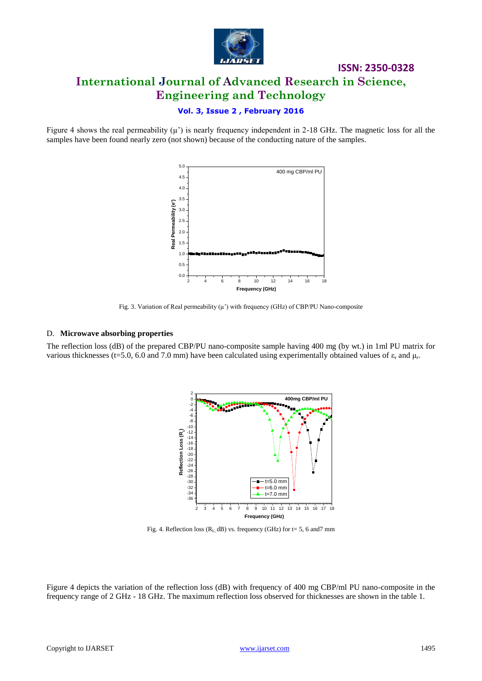

# **ISSN: 2350-0328 International Journal of Advanced Research in Science, Engineering and Technology**

#### **Vol. 3, Issue 2 , February 2016**

Figure 4 shows the real permeability  $(\mu')$  is nearly frequency independent in 2-18 GHz. The magnetic loss for all the samples have been found nearly zero (not shown) because of the conducting nature of the samples.



Fig. 3. Variation of Real permeability  $(\mu')$  with frequency (GHz) of CBP/PU Nano-composite

#### D. **Microwave absorbing properties**

The reflection loss (dB) of the prepared CBP/PU nano-composite sample having 400 mg (by wt.) in 1ml PU matrix for various thicknesses (t=5.0, 6.0 and 7.0 mm) have been calculated using experimentally obtained values of  $\varepsilon_r$  and  $\mu_r$ .



Fig. 4. Reflection loss ( $R<sub>L</sub>$  dB) vs. frequency (GHz) for t= 5, 6 and7 mm

Figure 4 depicts the variation of the reflection loss (dB) with frequency of 400 mg CBP/ml PU nano-composite in the frequency range of 2 GHz - 18 GHz. The maximum reflection loss observed for thicknesses are shown in the table 1.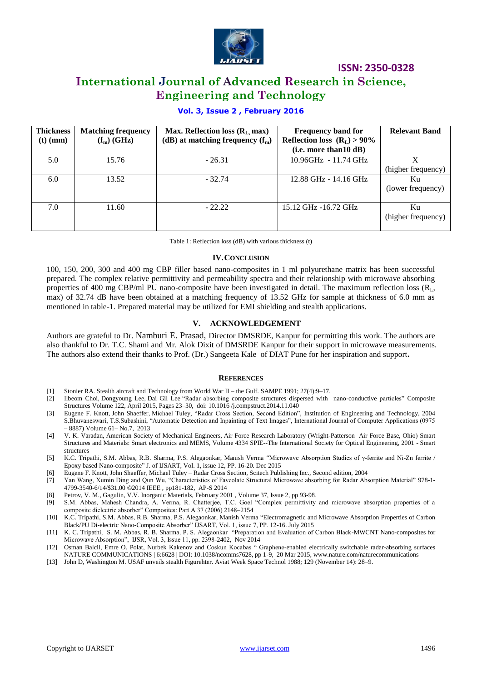

**ISSN: 2350-0328**

## **International Journal of Advanced Research in Science, Engineering and Technology**

#### **Vol. 3, Issue 2 , February 2016**

| <b>Thickness</b><br>$(t)$ (mm) | <b>Matching frequency</b><br>$(f_m)$ (GHz) | Max. Reflection loss $(R_L, max)$<br>(dB) at matching frequency $(f_m)$ | <b>Frequency band for</b><br>Reflection loss $(R_L) > 90\%$<br>(i.e. more than 10 dB) | <b>Relevant Band</b>     |
|--------------------------------|--------------------------------------------|-------------------------------------------------------------------------|---------------------------------------------------------------------------------------|--------------------------|
| 5.0                            | 15.76                                      | $-26.31$                                                                | 10.96GHz - 11.74 GHz                                                                  | (higher frequency)       |
| $6.0^{\circ}$                  | 13.52                                      | $-32.74$                                                                | 12.88 GHz - 14.16 GHz                                                                 | Ku<br>(lower frequency)  |
| 7.0                            | 11.60                                      | $-22.22$                                                                | 15.12 GHz -16.72 GHz                                                                  | Ku<br>(higher frequency) |

Table 1: Reflection loss (dB) with various thickness (t)

#### **IV.CONCLUSION**

100, 150, 200, 300 and 400 mg CBP filler based nano-composites in 1 ml polyurethane matrix has been successful prepared. The complex relative permittivity and permeability spectra and their relationship with microwave absorbing properties of 400 mg CBP/ml PU nano-composite have been investigated in detail. The maximum reflection loss  $(R<sub>L</sub>)$ , max) of 32.74 dB have been obtained at a matching frequency of 13.52 GHz for sample at thickness of 6.0 mm as mentioned in table-1. Prepared material may be utilized for EMI shielding and stealth applications.

#### **V. ACKNOWLEDGEMENT**

Authors are grateful to Dr. Namburi E. Prasad, Director DMSRDE, Kanpur for permitting this work. The authors are also thankful to Dr. T.C. Shami and Mr. Alok Dixit of DMSRDE Kanpur for their support in microwave measurements. The authors also extend their thanks to Prof. (Dr.) Sangeeta Kale of DIAT Pune for her inspiration and support**.** 

#### **REFERENCES**

- [1] Stonier RA. Stealth aircraft and Technology from World War II the Gulf. SAMPE 1991; 27(4):9–17.
- [2] Ilbeom Choi, Dongyoung Lee, Dai Gil Lee "Radar absorbing composite structures dispersed with nano-conductive particles" Composite Structures Volume 122, April 2015, Pages 23–30, doi: 10.1016 /j.compstruct.2014.11.040
- [3] Eugene F. Knott, John Shaeffer, Michael Tuley, "Radar Cross Section, Second Edition", Institution of Engineering and Technology, 2004 S.Bhuvaneswari, T.S.Subashini, "Automatic Detection and Inpainting of Text Images", International Journal of Computer Applications (0975 – 8887) Volume 61– No.7, 2013
- [4] V. K. Varadan, American Society of Mechanical Engineers, Air Force Research Laboratory (Wright-Patterson Air Force Base, Ohio) Smart Structures and Materials: Smart electronics and MEMS, Volume 4334 SPIE--The International Society for Optical Engineering, 2001 - Smart structures
- [5] K.C. Tripathi, S.M. Abbas, R.B. Sharma, P.S. Alegaonkar, Manish Verma "Microwave Absorption Studies of γ-ferrite and Ni-Zn ferrite / Epoxy based Nano-composite" J. of IJSART, Vol. 1, issue 12, PP. 16-20. Dec 2015
- [6] Eugene F. Knott, John Shaeffer, Michael Tuley Radar Cross Section, Scitech Publishing Inc., Second edition, 2004
- [7] Yan Wang, Xumin Ding and Qun Wu, "Characteristics of Faveolate Structural Microwave absorbing for Radar Absorption Material" 978-1- 4799-3540-6/14/\$31.00 ©2014 IEEE , pp181-182, AP-S 2014
- [8] Petrov, V. M., Gagulin, V.V. Inorganic Materials, February 2001 , Volume 37, Issue 2, pp 93-98.
- [9] S.M. Abbas, Mahesh Chandra, A. Verma, R. Chatterjee, T.C. Goel "Complex permittivity and microwave absorption properties of a composite dielectric absorber" Composites: Part A 37 (2006) 2148–2154
- [10] K.C. Tripathi, S.M. Abbas, R.B. Sharma, P.S. Alegaonkar, Manish Verma "Electromagnetic and Microwave Absorption Properties of Carbon Black/PU Di-electric Nano-Composite Absorber" IJSART, Vol. 1, issue 7, PP. 12-16. July 2015
- [11] K. C. Tripathi, S. M. Abbas, R. B. Sharma, P. S. Alegaonkar "Preparation and Evaluation of Carbon Black-MWCNT Nano-composites for Microwave Absorption", IJSR, Vol. 3, Issue 11, pp. 2398-2402, Nov 2014
- [12] Osman Balcil, Emre O. Polat, Nurbek Kakenov and Coskun Kocabas " Graphene-enabled electrically switchable radar-absorbing surfaces NATURE COMMUNICATIONS | 6:6628 | DOI: 10.1038/ncomms7628, pp 1-9, 20 Mar 2015, www.nature.com/naturecommunications
- [13] John D, Washington M. USAF unveils stealth Figurehter. Aviat Week Space Technol 1988; 129 (November 14): 28–9.